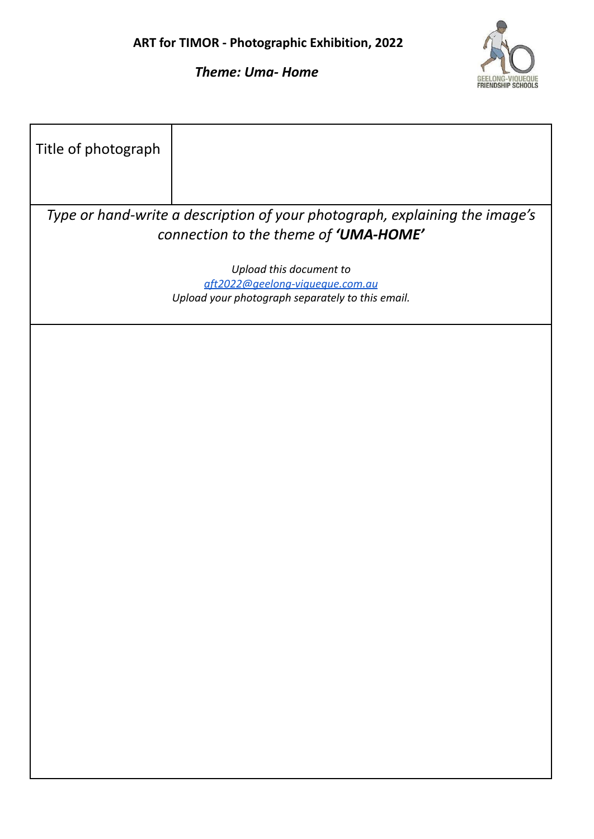

*Theme: Uma- Home*

| Title of photograph                                                                                                  |                                                            |  |  |
|----------------------------------------------------------------------------------------------------------------------|------------------------------------------------------------|--|--|
| Type or hand-write a description of your photograph, explaining the image's<br>connection to the theme of 'UMA-HOME' |                                                            |  |  |
|                                                                                                                      |                                                            |  |  |
|                                                                                                                      | Upload this document to<br>aft2022@geelong-viqueque.com.au |  |  |
|                                                                                                                      | Upload your photograph separately to this email.           |  |  |
|                                                                                                                      |                                                            |  |  |
|                                                                                                                      |                                                            |  |  |
|                                                                                                                      |                                                            |  |  |
|                                                                                                                      |                                                            |  |  |
|                                                                                                                      |                                                            |  |  |
|                                                                                                                      |                                                            |  |  |
|                                                                                                                      |                                                            |  |  |
|                                                                                                                      |                                                            |  |  |
|                                                                                                                      |                                                            |  |  |
|                                                                                                                      |                                                            |  |  |
|                                                                                                                      |                                                            |  |  |
|                                                                                                                      |                                                            |  |  |
|                                                                                                                      |                                                            |  |  |
|                                                                                                                      |                                                            |  |  |
|                                                                                                                      |                                                            |  |  |
|                                                                                                                      |                                                            |  |  |
|                                                                                                                      |                                                            |  |  |